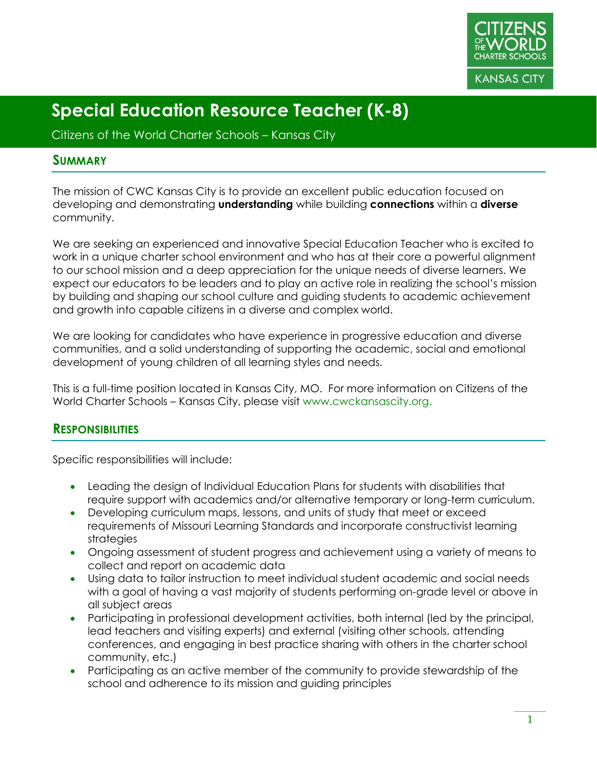

Citizens of the World Charter Schools – Kansas City

#### **SUMMARY**

The mission of CWC Kansas City is to provide an excellent public education focused on developing and demonstrating **understanding** while building **connections** within a **diverse** community.

We are seeking an experienced and innovative Special Education Teacher who is excited to work in a unique charter school environment and who has at their core a powerful alignment to our school mission and a deep appreciation for the unique needs of diverse learners. We expect our educators to be leaders and to play an active role in realizing the school's mission by building and shaping our school culture and guiding students to academic achievement and growth into capable citizens in a diverse and complex world.

We are looking for candidates who have experience in progressive education and diverse communities, and a solid understanding of supporting the academic, social and emotional development of young children of all learning styles and needs.

This is a full-time position located in Kansas City, MO. For more information on Citizens of the World Charter Schools – Kansas City, please visit www.cwckansascity.org.

#### **RESPONSIBILITIES**

Specific responsibilities will include:

- Leading the design of Individual Education Plans for students with disabilities that require support with academics and/or alternative temporary or long-term curriculum.
- Developing curriculum maps, lessons, and units of study that meet or exceed requirements of Missouri Learning Standards and incorporate constructivist learning strategies
- Ongoing assessment of student progress and achievement using a variety of means to collect and report on academic data
- Using data to tailor instruction to meet individual student academic and social needs with a goal of having a vast majority of students performing on-grade level or above in all subject areas
- Participating in professional development activities, both internal (led by the principal, lead teachers and visiting experts) and external (visiting other schools, attending conferences, and engaging in best practice sharing with others in the charter school community, etc.)
- Participating as an active member of the community to provide stewardship of the school and adherence to its mission and guiding principles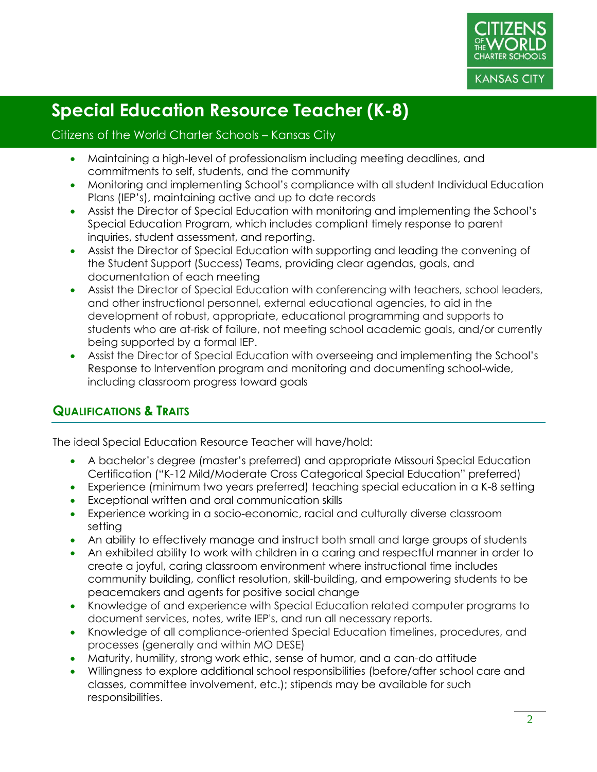

#### Citizens of the World Charter Schools – Kansas City

- Maintaining a high-level of professionalism including meeting deadlines, and commitments to self, students, and the community
- Monitoring and implementing School's compliance with all student Individual Education Plans (IEP's), maintaining active and up to date records
- Assist the Director of Special Education with monitoring and implementing the School's Special Education Program, which includes compliant timely response to parent inquiries, student assessment, and reporting.
- Assist the Director of Special Education with supporting and leading the convening of the Student Support (Success) Teams, providing clear agendas, goals, and documentation of each meeting
- Assist the Director of Special Education with conferencing with teachers, school leaders, and other instructional personnel, external educational agencies, to aid in the development of robust, appropriate, educational programming and supports to students who are at-risk of failure, not meeting school academic goals, and/or currently being supported by a formal IEP.
- Assist the Director of Special Education with overseeing and implementing the School's Response to Intervention program and monitoring and documenting school-wide, including classroom progress toward goals

#### **QUALIFICATIONS & TRAITS**

The ideal Special Education Resource Teacher will have/hold:

- A bachelor's degree (master's preferred) and appropriate Missouri Special Education Certification ("K-12 Mild/Moderate Cross Categorical Special Education" preferred)
- Experience (minimum two years preferred) teaching special education in a K-8 setting
- Exceptional written and oral communication skills
- Experience working in a socio-economic, racial and culturally diverse classroom setting
- An ability to effectively manage and instruct both small and large groups of students
- An exhibited ability to work with children in a caring and respectful manner in order to create a joyful, caring classroom environment where instructional time includes community building, conflict resolution, skill-building, and empowering students to be peacemakers and agents for positive social change
- Knowledge of and experience with Special Education related computer programs to document services, notes, write IEP's, and run all necessary reports.
- Knowledge of all compliance-oriented Special Education timelines, procedures, and processes (generally and within MO DESE)
- Maturity, humility, strong work ethic, sense of humor, and a can-do attitude
- Willingness to explore additional school responsibilities (before/after school care and classes, committee involvement, etc.); stipends may be available for such responsibilities.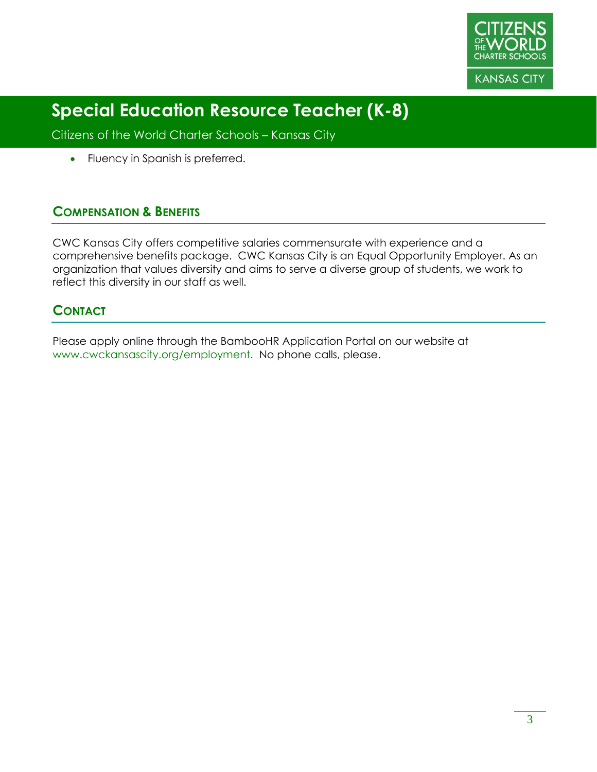

Citizens of the World Charter Schools – Kansas City

• Fluency in Spanish is preferred.

#### **COMPENSATION & BENEFITS**

CWC Kansas City offers competitive salaries commensurate with experience and a comprehensive benefits package. CWC Kansas City is an Equal Opportunity Employer. As an organization that values diversity and aims to serve a diverse group of students, we work to reflect this diversity in our staff as well.

#### **CONTACT**

Please apply online through the BambooHR Application Portal on our website at www.cwckansascity.org/employment. No phone calls, please.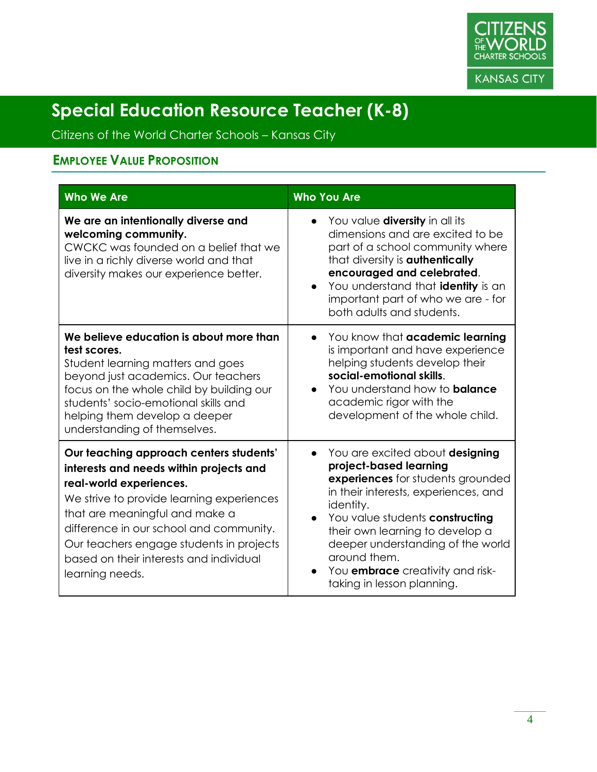

Citizens of the World Charter Schools – Kansas City

### **EMPLOYEE VALUE PROPOSITION**

| <b>Who We Are</b>                                                                                                                                                                                                                                                                                                                                 | <b>Who You Are</b>                                                                                                                                                                                                                                                                                                                                                                             |
|---------------------------------------------------------------------------------------------------------------------------------------------------------------------------------------------------------------------------------------------------------------------------------------------------------------------------------------------------|------------------------------------------------------------------------------------------------------------------------------------------------------------------------------------------------------------------------------------------------------------------------------------------------------------------------------------------------------------------------------------------------|
| We are an intentionally diverse and<br>welcoming community.<br>CWCKC was founded on a belief that we<br>live in a richly diverse world and that<br>diversity makes our experience better.                                                                                                                                                         | You value <b>diversity</b> in all its<br>dimensions and are excited to be<br>part of a school community where<br>that diversity is <b>authentically</b><br>encouraged and celebrated.<br>You understand that <b>identity</b> is an<br>important part of who we are - for<br>both adults and students.                                                                                          |
| We believe education is about more than<br>test scores.<br>Student learning matters and goes<br>beyond just academics. Our teachers<br>focus on the whole child by building our<br>students' socio-emotional skills and<br>helping them develop a deeper<br>understanding of themselves.                                                          | You know that academic learning<br>is important and have experience<br>helping students develop their<br>social-emotional skills.<br>You understand how to <b>balance</b><br>$\bullet$<br>academic rigor with the<br>development of the whole child.                                                                                                                                           |
| Our teaching approach centers students'<br>interests and needs within projects and<br>real-world experiences.<br>We strive to provide learning experiences<br>that are meaningful and make a<br>difference in our school and community.<br>Our teachers engage students in projects<br>based on their interests and individual<br>learning needs. | You are excited about designing<br>$\bullet$<br>project-based learning<br>experiences for students grounded<br>in their interests, experiences, and<br>identity.<br>You value students constructing<br>$\bullet$<br>their own learning to develop a<br>deeper understanding of the world<br>around them.<br>You <b>embrace</b> creativity and risk-<br>$\bullet$<br>taking in lesson planning. |